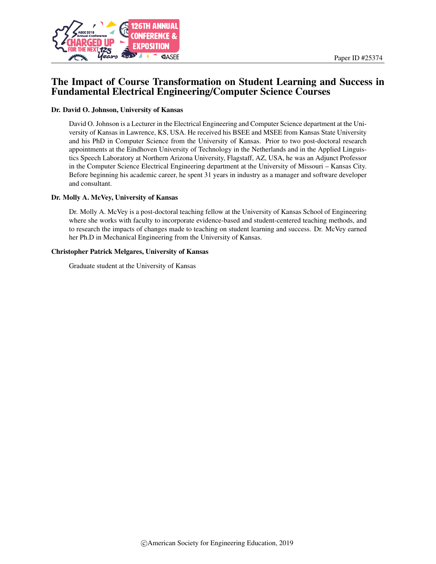

# The Impact of Course Transformation on Student Learning and Success in Fundamental Electrical Engineering/Computer Science Courses

#### Dr. David O. Johnson, University of Kansas

David O. Johnson is a Lecturer in the Electrical Engineering and Computer Science department at the University of Kansas in Lawrence, KS, USA. He received his BSEE and MSEE from Kansas State University and his PhD in Computer Science from the University of Kansas. Prior to two post-doctoral research appointments at the Eindhoven University of Technology in the Netherlands and in the Applied Linguistics Speech Laboratory at Northern Arizona University, Flagstaff, AZ, USA, he was an Adjunct Professor in the Computer Science Electrical Engineering department at the University of Missouri – Kansas City. Before beginning his academic career, he spent 31 years in industry as a manager and software developer and consultant.

#### Dr. Molly A. McVey, University of Kansas

Dr. Molly A. McVey is a post-doctoral teaching fellow at the University of Kansas School of Engineering where she works with faculty to incorporate evidence-based and student-centered teaching methods, and to research the impacts of changes made to teaching on student learning and success. Dr. McVey earned her Ph.D in Mechanical Engineering from the University of Kansas.

#### Christopher Patrick Melgares, University of Kansas

Graduate student at the University of Kansas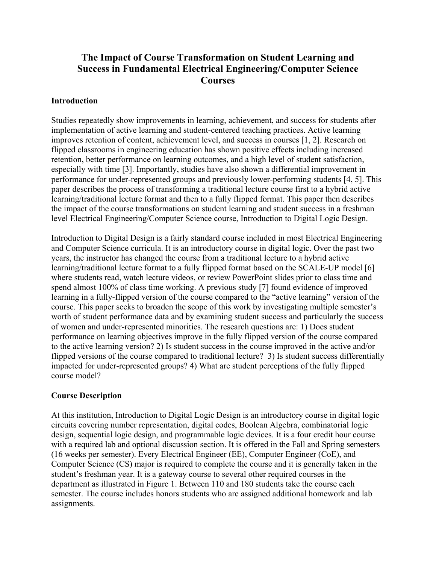# **The Impact of Course Transformation on Student Learning and Success in Fundamental Electrical Engineering/Computer Science Courses**

## **Introduction**

Studies repeatedly show improvements in learning, achievement, and success for students after implementation of active learning and student-centered teaching practices. Active learning improves retention of content, achievement level, and success in courses [1, 2]. Research on flipped classrooms in engineering education has shown positive effects including increased retention, better performance on learning outcomes, and a high level of student satisfaction, especially with time [3]. Importantly, studies have also shown a differential improvement in performance for under-represented groups and previously lower-performing students [4, 5]. This paper describes the process of transforming a traditional lecture course first to a hybrid active learning/traditional lecture format and then to a fully flipped format. This paper then describes the impact of the course transformations on student learning and student success in a freshman level Electrical Engineering/Computer Science course, Introduction to Digital Logic Design.

Introduction to Digital Design is a fairly standard course included in most Electrical Engineering and Computer Science curricula. It is an introductory course in digital logic. Over the past two years, the instructor has changed the course from a traditional lecture to a hybrid active learning/traditional lecture format to a fully flipped format based on the SCALE-UP model [6] where students read, watch lecture videos, or review PowerPoint slides prior to class time and spend almost 100% of class time working. A previous study [7] found evidence of improved learning in a fully-flipped version of the course compared to the "active learning" version of the course. This paper seeks to broaden the scope of this work by investigating multiple semester's worth of student performance data and by examining student success and particularly the success of women and under-represented minorities. The research questions are: 1) Does student performance on learning objectives improve in the fully flipped version of the course compared to the active learning version? 2) Is student success in the course improved in the active and/or flipped versions of the course compared to traditional lecture? 3) Is student success differentially impacted for under-represented groups? 4) What are student perceptions of the fully flipped course model?

## **Course Description**

At this institution, Introduction to Digital Logic Design is an introductory course in digital logic circuits covering number representation, digital codes, Boolean Algebra, combinatorial logic design, sequential logic design, and programmable logic devices. It is a four credit hour course with a required lab and optional discussion section. It is offered in the Fall and Spring semesters (16 weeks per semester). Every Electrical Engineer (EE), Computer Engineer (CoE), and Computer Science (CS) major is required to complete the course and it is generally taken in the student's freshman year. It is a gateway course to several other required courses in the department as illustrated in Figure 1. Between 110 and 180 students take the course each semester. The course includes honors students who are assigned additional homework and lab assignments.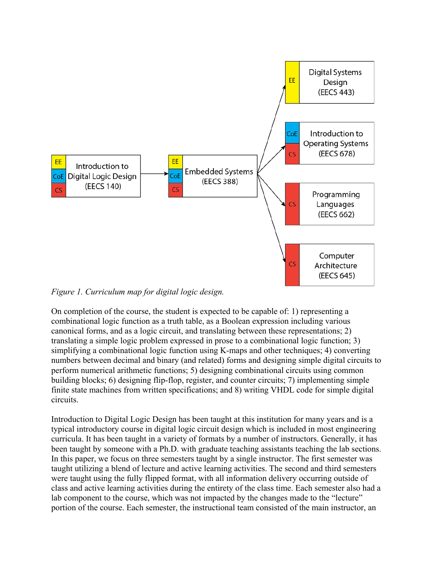

*Figure 1. Curriculum map for digital logic design.*

On completion of the course, the student is expected to be capable of: 1) representing a combinational logic function as a truth table, as a Boolean expression including various canonical forms, and as a logic circuit, and translating between these representations; 2) translating a simple logic problem expressed in prose to a combinational logic function; 3) simplifying a combinational logic function using K-maps and other techniques; 4) converting numbers between decimal and binary (and related) forms and designing simple digital circuits to perform numerical arithmetic functions; 5) designing combinational circuits using common building blocks; 6) designing flip-flop, register, and counter circuits; 7) implementing simple finite state machines from written specifications; and 8) writing VHDL code for simple digital circuits.

Introduction to Digital Logic Design has been taught at this institution for many years and is a typical introductory course in digital logic circuit design which is included in most engineering curricula. It has been taught in a variety of formats by a number of instructors. Generally, it has been taught by someone with a Ph.D. with graduate teaching assistants teaching the lab sections. In this paper, we focus on three semesters taught by a single instructor. The first semester was taught utilizing a blend of lecture and active learning activities. The second and third semesters were taught using the fully flipped format, with all information delivery occurring outside of class and active learning activities during the entirety of the class time. Each semester also had a lab component to the course, which was not impacted by the changes made to the "lecture" portion of the course. Each semester, the instructional team consisted of the main instructor, an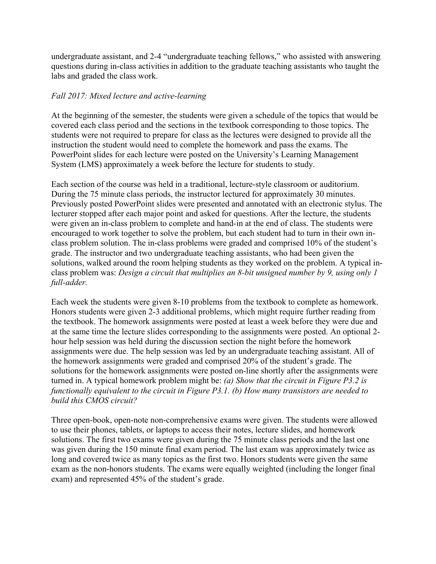undergraduate assistant, and 2-4 "undergraduate teaching fellows," who assisted with answering questions during in-class activities in addition to the graduate teaching assistants who taught the labs and graded the class work.

#### *Fall 2017: Mixed lecture and active-learning*

At the beginning of the semester, the students were given a schedule of the topics that would be covered each class period and the sections in the textbook corresponding to those topics. The students were not required to prepare for class as the lectures were designed to provide all the instruction the student would need to complete the homework and pass the exams. The PowerPoint slides for each lecture were posted on the University's Learning Management System (LMS) approximately a week before the lecture for students to study.

Each section of the course was held in a traditional, lecture-style classroom or auditorium. During the 75 minute class periods, the instructor lectured for approximately 30 minutes. Previously posted PowerPoint slides were presented and annotated with an electronic stylus. The lecturer stopped after each major point and asked for questions. After the lecture, the students were given an in-class problem to complete and hand-in at the end of class. The students were encouraged to work together to solve the problem, but each student had to turn in their own inclass problem solution. The in-class problems were graded and comprised 10% of the student's grade. The instructor and two undergraduate teaching assistants, who had been given the solutions, walked around the room helping students as they worked on the problem. A typical inclass problem was: *Design a circuit that multiplies an 8-bit unsigned number by 9, using only 1 full-adder.*

Each week the students were given 8-10 problems from the textbook to complete as homework. Honors students were given 2-3 additional problems, which might require further reading from the textbook. The homework assignments were posted at least a week before they were due and at the same time the lecture slides corresponding to the assignments were posted. An optional 2 hour help session was held during the discussion section the night before the homework assignments were due. The help session was led by an undergraduate teaching assistant. All of the homework assignments were graded and comprised 20% of the student's grade. The solutions for the homework assignments were posted on-line shortly after the assignments were turned in. A typical homework problem might be: *(a) Show that the circuit in Figure P3.2 is functionally equivalent to the circuit in Figure P3.1. (b) How many transistors are needed to build this CMOS circuit?*

Three open-book, open-note non-comprehensive exams were given. The students were allowed to use their phones, tablets, or laptops to access their notes, lecture slides, and homework solutions. The first two exams were given during the 75 minute class periods and the last one was given during the 150 minute final exam period. The last exam was approximately twice as long and covered twice as many topics as the first two. Honors students were given the same exam as the non-honors students. The exams were equally weighted (including the longer final exam) and represented 45% of the student's grade.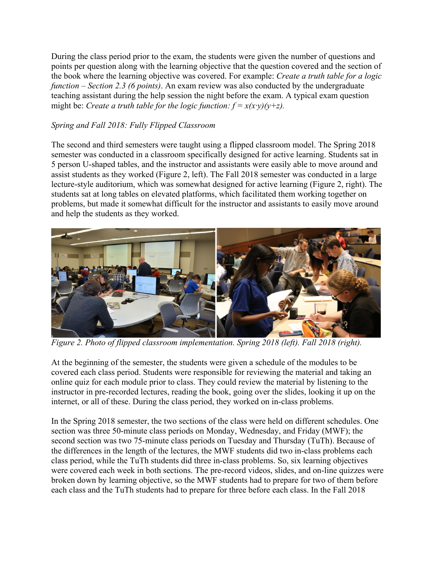During the class period prior to the exam, the students were given the number of questions and points per question along with the learning objective that the question covered and the section of the book where the learning objective was covered. For example: *Create a truth table for a logic function – Section 2.3 (6 points)*. An exam review was also conducted by the undergraduate teaching assistant during the help session the night before the exam. A typical exam question might be: *Create a truth table for the logic function:*  $f = x(x \cdot y)(y + z)$ .

# *Spring and Fall 2018: Fully Flipped Classroom*

The second and third semesters were taught using a flipped classroom model. The Spring 2018 semester was conducted in a classroom specifically designed for active learning. Students sat in 5 person U-shaped tables, and the instructor and assistants were easily able to move around and assist students as they worked (Figure 2, left). The Fall 2018 semester was conducted in a large lecture-style auditorium, which was somewhat designed for active learning (Figure 2, right). The students sat at long tables on elevated platforms, which facilitated them working together on problems, but made it somewhat difficult for the instructor and assistants to easily move around and help the students as they worked.



*Figure 2. Photo of flipped classroom implementation. Spring 2018 (left). Fall 2018 (right).*

At the beginning of the semester, the students were given a schedule of the modules to be covered each class period. Students were responsible for reviewing the material and taking an online quiz for each module prior to class. They could review the material by listening to the instructor in pre-recorded lectures, reading the book, going over the slides, looking it up on the internet, or all of these. During the class period, they worked on in-class problems.

In the Spring 2018 semester, the two sections of the class were held on different schedules. One section was three 50-minute class periods on Monday, Wednesday, and Friday (MWF); the second section was two 75-minute class periods on Tuesday and Thursday (TuTh). Because of the differences in the length of the lectures, the MWF students did two in-class problems each class period, while the TuTh students did three in-class problems. So, six learning objectives were covered each week in both sections. The pre-record videos, slides, and on-line quizzes were broken down by learning objective, so the MWF students had to prepare for two of them before each class and the TuTh students had to prepare for three before each class. In the Fall 2018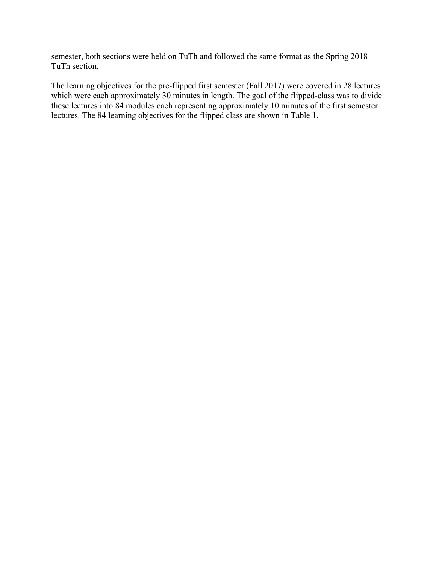semester, both sections were held on TuTh and followed the same format as the Spring 2018 TuTh section.

The learning objectives for the pre-flipped first semester (Fall 2017) were covered in 28 lectures which were each approximately 30 minutes in length. The goal of the flipped-class was to divide these lectures into 84 modules each representing approximately 10 minutes of the first semester lectures. The 84 learning objectives for the flipped class are shown in Table 1.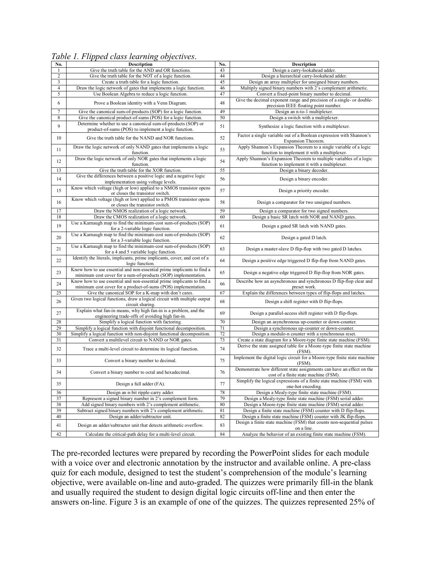| No.            | <b>Description</b>                                                                                                                       | No. | Description                                                                                                        |
|----------------|------------------------------------------------------------------------------------------------------------------------------------------|-----|--------------------------------------------------------------------------------------------------------------------|
| 1              | Give the truth table for the AND and OR functions.                                                                                       | 43  | Design a carry-lookahead adder.                                                                                    |
| $\overline{c}$ | Give the truth table for the NOT of a logic function.                                                                                    | 44  | Design a hierarchial carry-lookahead adder.                                                                        |
| 3              | Create a truth table for a logic function.                                                                                               | 45  | Design an array multiplier for unsigned binary numbers.                                                            |
| $\overline{4}$ | Draw the logic network of gates that implements a logic function.                                                                        | 46  | Multiply signed binary numbers with 2's complement arithmetic.                                                     |
| 5              | Use Boolean Algebra to reduce a logic function.                                                                                          | 47  | Convert a fixed-point binary number to decimal.                                                                    |
| 6              | Prove a Boolean identity with a Venn Diagram.                                                                                            | 48  | Give the decimal exponent range and precision of a single- or double-<br>precision IEEE floating point number.     |
| 7              | Give the canonical sum-of-products (SOP) for a logic function.                                                                           | 49  | Design an n-to-1 multiplexer.                                                                                      |
| 8              | Give the canonical product-of-sums (POS) for a logic function.                                                                           | 50  | Design a switch with a multiplexer.                                                                                |
|                | Determine whether to use a canonical sum-of-products (SOP) or                                                                            |     |                                                                                                                    |
| 9              | product-of-sums (POS) to implement a logic function.                                                                                     | 51  | Synthesize a logic function with a multiplexer.                                                                    |
| 10             | Give the truth table for the NAND and NOR functions.                                                                                     | 52  | Factor a single variable out of a Boolean expression with Shannon's<br>Expansion Theorem.                          |
| 11             | Draw the logic network of only NAND gates that implements a logic<br>function.                                                           | 53  | Apply Shannon's Expansion Theorem to a single variable of a logic<br>function to implement it with a multiplexer.  |
| 12             | Draw the logic network of only NOR gates that implements a logic<br>function.                                                            | 54  | Apply Shannon's Expansion Theorem to multiple variables of a logic<br>function to implement it with a multiplexer. |
| 13             | Give the truth table for the XOR function.                                                                                               | 55  | Design a binary decoder.                                                                                           |
| 14             | Give the differences between a positive logic and a negative logic<br>implementation using voltage levels.                               | 56  | Design a binary encoder.                                                                                           |
| 15             | Know which voltage (high or low) applied to a NMOS transistor opens<br>or closes the transistor switch.                                  | 57  | Design a priority encoder.                                                                                         |
| 16             | Know which voltage (high or low) applied to a PMOS transistor opens<br>or closes the transistor switch.                                  | 58  | Design a comparator for two unsigned numbers.                                                                      |
| 17             | Draw the NMOS realization of a logic network.                                                                                            | 59  | Design a comparator for two signed numbers.                                                                        |
| 18             | Draw the CMOS realization of a logic network.                                                                                            | 60  | Design a basic SR latch with NOR and NAND gates.                                                                   |
| 19             | Use a Karnaugh map to find the minimum-cost sum-of-products (SOP)<br>for a 2-variable logic function.                                    | 61  | Design a gated SR latch with NAND gates.                                                                           |
| 20             | Use a Karnaugh map to find the minimum-cost sum-of-products (SOP)<br>for a 3-variable logic function.                                    | 62  | Design a gated D latch.                                                                                            |
| 21             | Use a Karnaugh map to find the minimum-cost sum-of-products (SOP)<br>for a 4 and 5 variable logic function.                              | 63  | Design a master-slave D flip-flop with two gated D latches.                                                        |
| 22             | Identify the literals, implicants, prime implicants, cover, and cost of a<br>logic function.                                             | 64  | Design a positive edge triggered D flip-flop from NAND gates.                                                      |
| 23             | Know how to use essential and non-essential prime implicants to find a<br>minimum cost cover for a sum-of-products (SOP) implementation. | 65  | Design a negative edge triggered D flip-flop from NOR gates.                                                       |
| 24             | Know how to use essential and non-essential prime implicants to find a<br>minimum cost cover for a product-of-sums (POS) implementation. | 66  | Describe how an asynchronous and synchronous D flip-flop clear and<br>preset work.                                 |
| 25             | Give the canonical SOP for a K-map with don't cares.                                                                                     | 67  | Explain the differences between types of flip-flops and latches.                                                   |
| 26             | Given two logical functions, draw a logical circuit with multiple output<br>circuit sharing.                                             | 68  | Design a shift register with D flip-flops.                                                                         |
| 27             | Explain what fan-in means, why high fan-in is a problem, and the<br>engineering trade-offs of avoiding high fan-in.                      | 69  | Design a parallel-access shift register with D flip-flops.                                                         |
| 28             | Simplify a logical function with factoring.                                                                                              | 70  | Design an asynchronous up-counter or down-counter.                                                                 |
| 29             | Simplify a logical function with disjoint functional decomposition.                                                                      | 71  | Design a synchronous up-counter or down-counter.                                                                   |
| 30             | Simplify a logical function with non-disjoint functional decomposition.                                                                  | 72  | Design a modulo-n counter with a synchronous reset.                                                                |
| 31             | Convert a multilevel circuit to NAND or NOR gates.                                                                                       | 73  | Create a state diagram for a Moore-type finite state machine (FSM).                                                |
| 32             | Trace a multi-level circuit to determine its logical function.                                                                           | 74  | Derive the state assigned table for a Moore-type finite state machine<br>(FSM).                                    |
| 33             | Convert a binary number to decimal.                                                                                                      | 75  | Implement the digital logic circuit for a Moore-type finite state machine<br>(FSM).                                |
| 34             | Convert a binary number to octal and hexadecimal.                                                                                        | 76  | Demonstrate how different state assignments can have an effect on the<br>cost of a finite state machine (FSM).     |
| 35             | Design a full adder (FA).                                                                                                                | 77  | Simplify the logical expressions of a finite state machine (FSM) with<br>one-hot encoding.                         |
| 36             | Design an n-bit ripple-carry adder.                                                                                                      | 78  | Design a Mealy-type finite state machine (FSM).                                                                    |
| 37             | Represent a signed binary number in 2's complement form.                                                                                 | 79  | Design a Mealy-type finite state machine (FSM) serial adder.                                                       |
| 38             | Add signed binary numbers with 2's complement arithmetic.                                                                                | 80  | Design a Moore-type finite state machine (FSM) serial adder.                                                       |
| 39             | Subtract signed binary numbers with 2's complement arithmetic.                                                                           | 81  | Design a finite state machine (FSM) counter with D flip-flops.                                                     |
| 40             | Design an adder/subtractor unit.                                                                                                         | 82  | Design a finite state machine (FSM) counter with JK flip-flops.                                                    |
| 41             | Design an adder/subtractor unit that detects arithmetic overflow.                                                                        | 83  | Design a finite state machine (FSM) that counts non-sequential pulses<br>on a line.                                |
| 42             | Calculate the critical-path delay for a multi-level circuit.                                                                             | 84  | Analyze the behavior of an existing finite state machine (FSM).                                                    |

*Table 1. Flipped class learning objectives*.

The pre-recorded lectures were prepared by recording the PowerPoint slides for each module with a voice over and electronic annotation by the instructor and available online. A pre-class quiz for each module, designed to test the student's comprehension of the module's learning objective, were available on-line and auto-graded. The quizzes were primarily fill-in the blank and usually required the student to design digital logic circuits off-line and then enter the answers on-line. Figure 3 is an example of one of the quizzes. The quizzes represented 25% of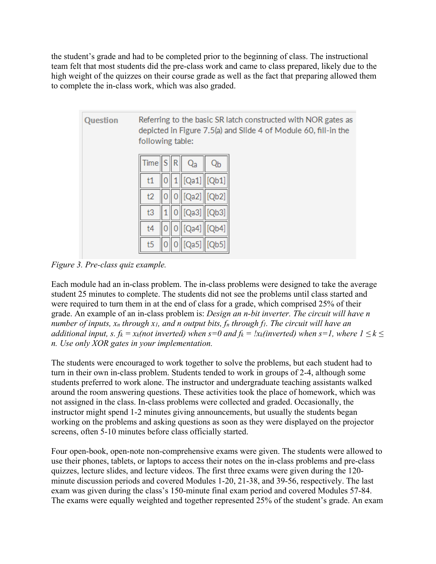the student's grade and had to be completed prior to the beginning of class. The instructional team felt that most students did the pre-class work and came to class prepared, likely due to the high weight of the quizzes on their course grade as well as the fact that preparing allowed them to complete the in-class work, which was also graded.

| Question | Referring to the basic SR latch constructed with NOR gates as<br>depicted in Figure 7.5(a) and Slide 4 of Module 60, fill-in the<br>following table: |  |
|----------|------------------------------------------------------------------------------------------------------------------------------------------------------|--|
|          | Time<br>S<br>R<br>Qa                                                                                                                                 |  |
|          | [Qb1]<br>  [Qa1]<br>t1                                                                                                                               |  |
|          | [Qb2]<br>[Qa2]<br>t2                                                                                                                                 |  |
|          | [Qa3]    [Qb3]<br>t3                                                                                                                                 |  |
|          | [Qb4]<br>t4<br>[Qa4]                                                                                                                                 |  |
|          | t5<br>[Qb5]<br>Qa5                                                                                                                                   |  |

*Figure 3. Pre-class quiz example.*

Each module had an in-class problem. The in-class problems were designed to take the average student 25 minutes to complete. The students did not see the problems until class started and were required to turn them in at the end of class for a grade, which comprised 25% of their grade. An example of an in-class problem is: *Design an n-bit inverter. The circuit will have n number of inputs, xn through x1, and n output bits, fn through f1. The circuit will have an additional input, s. fk* =  $x_k$ (not inverted) when  $s=0$  and  $f_k = \frac{1}{x_k}$  (inverted) when  $s=1$ , where  $1 \leq k \leq 1$ *n. Use only XOR gates in your implementation.*

The students were encouraged to work together to solve the problems, but each student had to turn in their own in-class problem. Students tended to work in groups of 2-4, although some students preferred to work alone. The instructor and undergraduate teaching assistants walked around the room answering questions. These activities took the place of homework, which was not assigned in the class. In-class problems were collected and graded. Occasionally, the instructor might spend 1-2 minutes giving announcements, but usually the students began working on the problems and asking questions as soon as they were displayed on the projector screens, often 5-10 minutes before class officially started.

Four open-book, open-note non-comprehensive exams were given. The students were allowed to use their phones, tablets, or laptops to access their notes on the in-class problems and pre-class quizzes, lecture slides, and lecture videos. The first three exams were given during the 120 minute discussion periods and covered Modules 1-20, 21-38, and 39-56, respectively. The last exam was given during the class's 150-minute final exam period and covered Modules 57-84. The exams were equally weighted and together represented 25% of the student's grade. An exam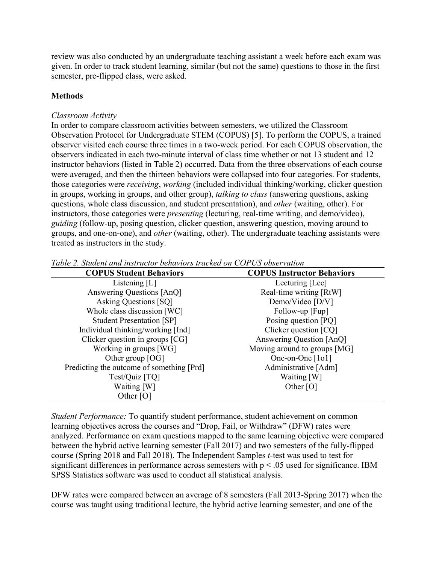review was also conducted by an undergraduate teaching assistant a week before each exam was given. In order to track student learning, similar (but not the same) questions to those in the first semester, pre-flipped class, were asked.

# **Methods**

## *Classroom Activity*

In order to compare classroom activities between semesters, we utilized the Classroom Observation Protocol for Undergraduate STEM (COPUS) [5]. To perform the COPUS, a trained observer visited each course three times in a two-week period. For each COPUS observation, the observers indicated in each two-minute interval of class time whether or not 13 student and 12 instructor behaviors (listed in Table 2) occurred. Data from the three observations of each course were averaged, and then the thirteen behaviors were collapsed into four categories. For students, those categories were *receiving*, *working* (included individual thinking/working, clicker question in groups, working in groups, and other group), *talking to class* (answering questions, asking questions, whole class discussion, and student presentation), and *other* (waiting, other). For instructors, those categories were *presenting* (lecturing, real-time writing, and demo/video), *guiding* (follow-up, posing question, clicker question, answering question, moving around to groups, and one-on-one), and *other* (waiting, other). The undergraduate teaching assistants were treated as instructors in the study.

| <b>COPUS Student Behaviors</b>            | <b>COPUS Instructor Behaviors</b> |
|-------------------------------------------|-----------------------------------|
| Listening $[L]$                           | Lecturing [Lec]                   |
| Answering Questions [AnQ]                 | Real-time writing [RtW]           |
| Asking Questions [SQ]                     | Demo/Video [D/V]                  |
| Whole class discussion [WC]               | Follow-up [Fup]                   |
| <b>Student Presentation [SP]</b>          | Posing question [PQ]              |
| Individual thinking/working [Ind]         | Clicker question [CQ]             |
| Clicker question in groups [CG]           | Answering Question [AnQ]          |
| Working in groups [WG]                    | Moving around to groups [MG]      |
| Other group [OG]                          | One-on-One [101]                  |
| Predicting the outcome of something [Prd] | Administrative [Adm]              |
| Test/Quiz [TQ]                            | Waiting [W]                       |
| Waiting [W]                               | Other $[O]$                       |
| Other [O]                                 |                                   |

*Table 2. Student and instructor behaviors tracked on COPUS observation*

*Student Performance:* To quantify student performance, student achievement on common learning objectives across the courses and "Drop, Fail, or Withdraw" (DFW) rates were analyzed. Performance on exam questions mapped to the same learning objective were compared between the hybrid active learning semester (Fall 2017) and two semesters of the fully-flipped course (Spring 2018 and Fall 2018). The Independent Samples *t*-test was used to test for significant differences in performance across semesters with  $p < .05$  used for significance. IBM SPSS Statistics software was used to conduct all statistical analysis.

DFW rates were compared between an average of 8 semesters (Fall 2013-Spring 2017) when the course was taught using traditional lecture, the hybrid active learning semester, and one of the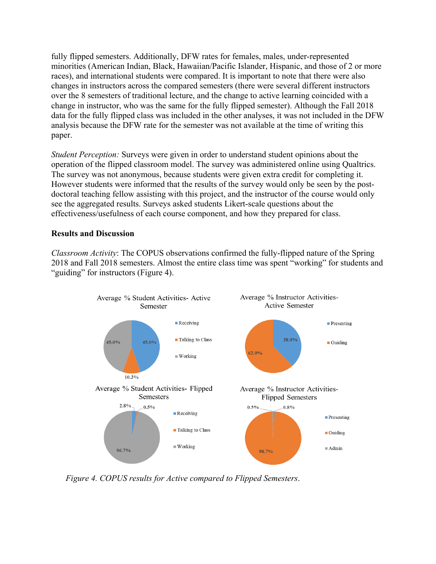fully flipped semesters. Additionally, DFW rates for females, males, under-represented minorities (American Indian, Black, Hawaiian/Pacific Islander, Hispanic, and those of 2 or more races), and international students were compared. It is important to note that there were also changes in instructors across the compared semesters (there were several different instructors over the 8 semesters of traditional lecture, and the change to active learning coincided with a change in instructor, who was the same for the fully flipped semester). Although the Fall 2018 data for the fully flipped class was included in the other analyses, it was not included in the DFW analysis because the DFW rate for the semester was not available at the time of writing this paper.

*Student Perception:* Surveys were given in order to understand student opinions about the operation of the flipped classroom model. The survey was administered online using Qualtrics. The survey was not anonymous, because students were given extra credit for completing it. However students were informed that the results of the survey would only be seen by the postdoctoral teaching fellow assisting with this project, and the instructor of the course would only see the aggregated results. Surveys asked students Likert-scale questions about the effectiveness/usefulness of each course component, and how they prepared for class.

#### **Results and Discussion**

*Classroom Activity*: The COPUS observations confirmed the fully-flipped nature of the Spring 2018 and Fall 2018 semesters. Almost the entire class time was spent "working" for students and "guiding" for instructors (Figure 4).



*Figure 4. COPUS results for Active compared to Flipped Semesters*.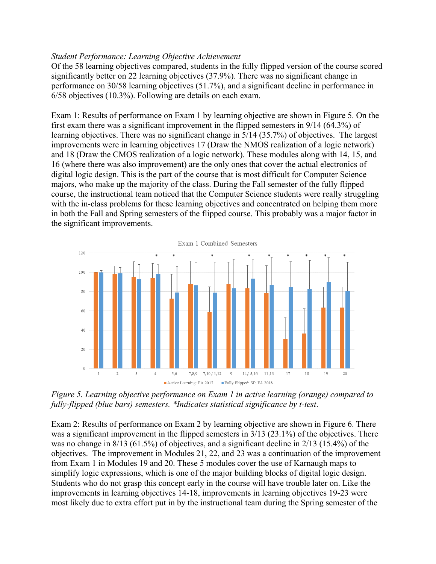#### *Student Performance: Learning Objective Achievement*

Of the 58 learning objectives compared, students in the fully flipped version of the course scored significantly better on 22 learning objectives (37.9%). There was no significant change in performance on 30/58 learning objectives (51.7%), and a significant decline in performance in 6/58 objectives (10.3%). Following are details on each exam.

Exam 1: Results of performance on Exam 1 by learning objective are shown in Figure 5. On the first exam there was a significant improvement in the flipped semesters in 9/14 (64.3%) of learning objectives. There was no significant change in 5/14 (35.7%) of objectives. The largest improvements were in learning objectives 17 (Draw the NMOS realization of a logic network) and 18 (Draw the CMOS realization of a logic network). These modules along with 14, 15, and 16 (where there was also improvement) are the only ones that cover the actual electronics of digital logic design. This is the part of the course that is most difficult for Computer Science majors, who make up the majority of the class. During the Fall semester of the fully flipped course, the instructional team noticed that the Computer Science students were really struggling with the in-class problems for these learning objectives and concentrated on helping them more in both the Fall and Spring semesters of the flipped course. This probably was a major factor in the significant improvements.



*Figure 5. Learning objective performance on Exam 1 in active learning (orange) compared to fully-flipped (blue bars) semesters. \*Indicates statistical significance by t-test*.

Exam 2: Results of performance on Exam 2 by learning objective are shown in Figure 6. There was a significant improvement in the flipped semesters in 3/13 (23.1%) of the objectives. There was no change in 8/13 (61.5%) of objectives, and a significant decline in 2/13 (15.4%) of the objectives. The improvement in Modules 21, 22, and 23 was a continuation of the improvement from Exam 1 in Modules 19 and 20. These 5 modules cover the use of Karnaugh maps to simplify logic expressions, which is one of the major building blocks of digital logic design. Students who do not grasp this concept early in the course will have trouble later on. Like the improvements in learning objectives 14-18, improvements in learning objectives 19-23 were most likely due to extra effort put in by the instructional team during the Spring semester of the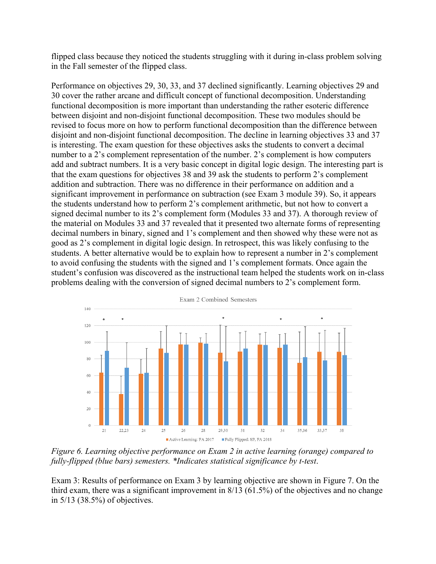flipped class because they noticed the students struggling with it during in-class problem solving in the Fall semester of the flipped class.

Performance on objectives 29, 30, 33, and 37 declined significantly. Learning objectives 29 and 30 cover the rather arcane and difficult concept of functional decomposition. Understanding functional decomposition is more important than understanding the rather esoteric difference between disjoint and non-disjoint functional decomposition. These two modules should be revised to focus more on how to perform functional decomposition than the difference between disjoint and non-disjoint functional decomposition. The decline in learning objectives 33 and 37 is interesting. The exam question for these objectives asks the students to convert a decimal number to a 2's complement representation of the number. 2's complement is how computers add and subtract numbers. It is a very basic concept in digital logic design. The interesting part is that the exam questions for objectives 38 and 39 ask the students to perform 2's complement addition and subtraction. There was no difference in their performance on addition and a significant improvement in performance on subtraction (see Exam 3 module 39). So, it appears the students understand how to perform 2's complement arithmetic, but not how to convert a signed decimal number to its 2's complement form (Modules 33 and 37). A thorough review of the material on Modules 33 and 37 revealed that it presented two alternate forms of representing decimal numbers in binary, signed and 1's complement and then showed why these were not as good as 2's complement in digital logic design. In retrospect, this was likely confusing to the students. A better alternative would be to explain how to represent a number in 2's complement to avoid confusing the students with the signed and 1's complement formats. Once again the student's confusion was discovered as the instructional team helped the students work on in-class problems dealing with the conversion of signed decimal numbers to 2's complement form.



*Figure 6. Learning objective performance on Exam 2 in active learning (orange) compared to fully-flipped (blue bars) semesters. \*Indicates statistical significance by t-test*.

Exam 3: Results of performance on Exam 3 by learning objective are shown in Figure 7. On the third exam, there was a significant improvement in 8/13 (61.5%) of the objectives and no change in 5/13 (38.5%) of objectives.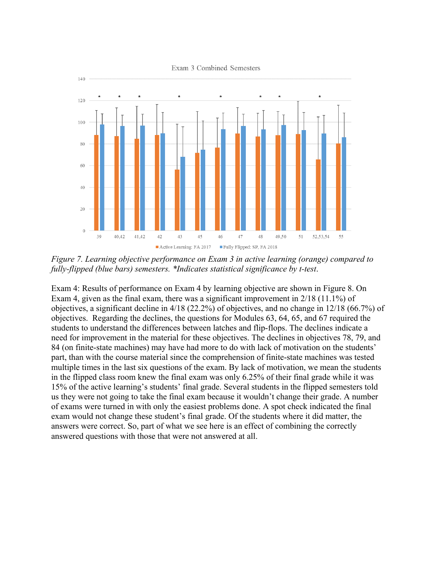

*Figure 7. Learning objective performance on Exam 3 in active learning (orange) compared to fully-flipped (blue bars) semesters. \*Indicates statistical significance by t-test*.

Exam 4: Results of performance on Exam 4 by learning objective are shown in Figure 8. On Exam 4, given as the final exam, there was a significant improvement in 2/18 (11.1%) of objectives, a significant decline in 4/18 (22.2%) of objectives, and no change in 12/18 (66.7%) of objectives. Regarding the declines, the questions for Modules 63, 64, 65, and 67 required the students to understand the differences between latches and flip-flops. The declines indicate a need for improvement in the material for these objectives. The declines in objectives 78, 79, and 84 (on finite-state machines) may have had more to do with lack of motivation on the students' part, than with the course material since the comprehension of finite-state machines was tested multiple times in the last six questions of the exam. By lack of motivation, we mean the students in the flipped class room knew the final exam was only 6.25% of their final grade while it was 15% of the active learning's students' final grade. Several students in the flipped semesters told us they were not going to take the final exam because it wouldn't change their grade. A number of exams were turned in with only the easiest problems done. A spot check indicated the final exam would not change these student's final grade. Of the students where it did matter, the answers were correct. So, part of what we see here is an effect of combining the correctly answered questions with those that were not answered at all.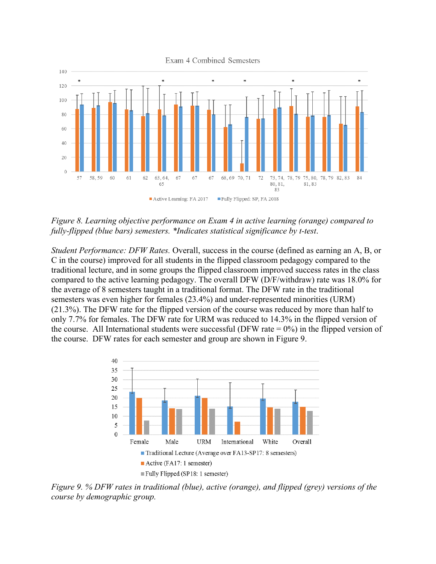

*Figure 8. Learning objective performance on Exam 4 in active learning (orange) compared to fully-flipped (blue bars) semesters. \*Indicates statistical significance by t-test*.

*Student Performance: DFW Rates.* Overall, success in the course (defined as earning an A, B, or C in the course) improved for all students in the flipped classroom pedagogy compared to the traditional lecture, and in some groups the flipped classroom improved success rates in the class compared to the active learning pedagogy. The overall DFW (D/F/withdraw) rate was 18.0% for the average of 8 semesters taught in a traditional format. The DFW rate in the traditional semesters was even higher for females (23.4%) and under-represented minorities (URM) (21.3%). The DFW rate for the flipped version of the course was reduced by more than half to only 7.7% for females. The DFW rate for URM was reduced to 14.3% in the flipped version of the course. All International students were successful (DFW rate  $= 0\%$ ) in the flipped version of the course. DFW rates for each semester and group are shown in Figure 9.



*Figure 9. % DFW rates in traditional (blue), active (orange), and flipped (grey) versions of the course by demographic group.*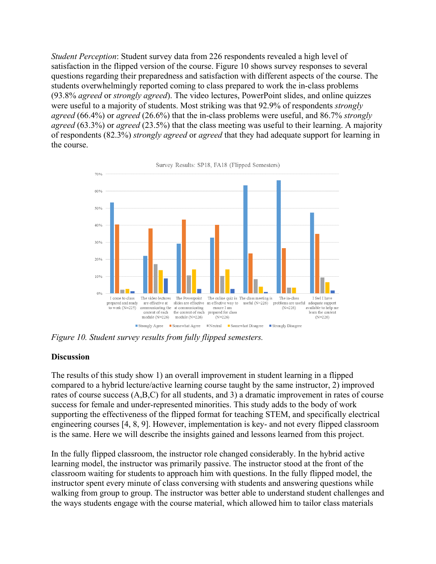*Student Perception*: Student survey data from 226 respondents revealed a high level of satisfaction in the flipped version of the course. Figure 10 shows survey responses to several questions regarding their preparedness and satisfaction with different aspects of the course. The students overwhelmingly reported coming to class prepared to work the in-class problems (93.8% *agreed* or *strongly agreed*). The video lectures, PowerPoint slides, and online quizzes were useful to a majority of students. Most striking was that 92.9% of respondents *strongly agreed* (66.4%) or *agreed* (26.6%) that the in-class problems were useful, and 86.7% *strongly agreed* (63.3%) or *agreed* (23.5%) that the class meeting was useful to their learning. A majority of respondents (82.3%) *strongly agreed* or *agreed* that they had adequate support for learning in the course.



Survey Results: SP18, FA18 (Flipped Semesters)

*Figure 10. Student survey results from fully flipped semesters.* 

#### **Discussion**

The results of this study show 1) an overall improvement in student learning in a flipped compared to a hybrid lecture/active learning course taught by the same instructor, 2) improved rates of course success (A,B,C) for all students, and 3) a dramatic improvement in rates of course success for female and under-represented minorities. This study adds to the body of work supporting the effectiveness of the flipped format for teaching STEM, and specifically electrical engineering courses [4, 8, 9]. However, implementation is key- and not every flipped classroom is the same. Here we will describe the insights gained and lessons learned from this project.

In the fully flipped classroom, the instructor role changed considerably. In the hybrid active learning model, the instructor was primarily passive. The instructor stood at the front of the classroom waiting for students to approach him with questions. In the fully flipped model, the instructor spent every minute of class conversing with students and answering questions while walking from group to group. The instructor was better able to understand student challenges and the ways students engage with the course material, which allowed him to tailor class materials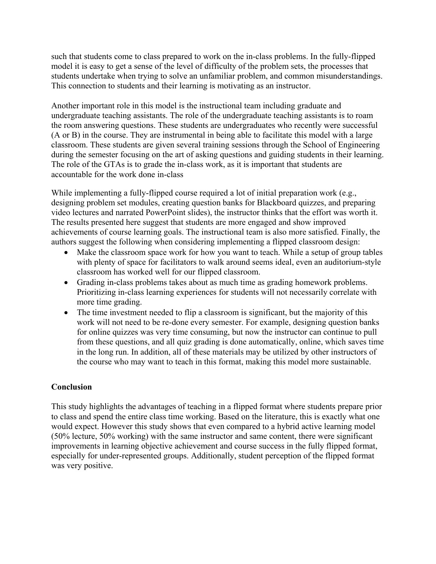such that students come to class prepared to work on the in-class problems. In the fully-flipped model it is easy to get a sense of the level of difficulty of the problem sets, the processes that students undertake when trying to solve an unfamiliar problem, and common misunderstandings. This connection to students and their learning is motivating as an instructor.

Another important role in this model is the instructional team including graduate and undergraduate teaching assistants. The role of the undergraduate teaching assistants is to roam the room answering questions. These students are undergraduates who recently were successful (A or B) in the course. They are instrumental in being able to facilitate this model with a large classroom. These students are given several training sessions through the School of Engineering during the semester focusing on the art of asking questions and guiding students in their learning. The role of the GTAs is to grade the in-class work, as it is important that students are accountable for the work done in-class

While implementing a fully-flipped course required a lot of initial preparation work (e.g., designing problem set modules, creating question banks for Blackboard quizzes, and preparing video lectures and narrated PowerPoint slides), the instructor thinks that the effort was worth it. The results presented here suggest that students are more engaged and show improved achievements of course learning goals. The instructional team is also more satisfied. Finally, the authors suggest the following when considering implementing a flipped classroom design:

- Make the classroom space work for how you want to teach. While a setup of group tables with plenty of space for facilitators to walk around seems ideal, even an auditorium-style classroom has worked well for our flipped classroom.
- Grading in-class problems takes about as much time as grading homework problems. Prioritizing in-class learning experiences for students will not necessarily correlate with more time grading.
- The time investment needed to flip a classroom is significant, but the majority of this work will not need to be re-done every semester. For example, designing question banks for online quizzes was very time consuming, but now the instructor can continue to pull from these questions, and all quiz grading is done automatically, online, which saves time in the long run. In addition, all of these materials may be utilized by other instructors of the course who may want to teach in this format, making this model more sustainable.

## **Conclusion**

This study highlights the advantages of teaching in a flipped format where students prepare prior to class and spend the entire class time working. Based on the literature, this is exactly what one would expect. However this study shows that even compared to a hybrid active learning model (50% lecture, 50% working) with the same instructor and same content, there were significant improvements in learning objective achievement and course success in the fully flipped format, especially for under-represented groups. Additionally, student perception of the flipped format was very positive.